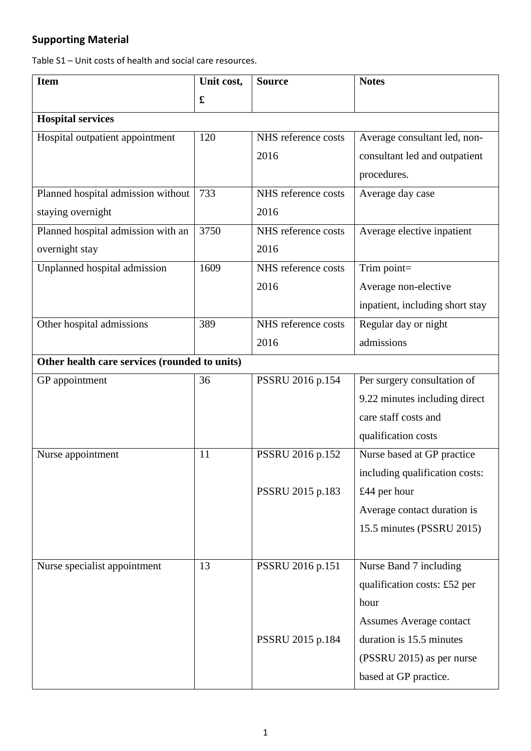## **Supporting Material**

Table S1 – Unit costs of health and social care resources.

| <b>Item</b>                                   | Unit cost, | <b>Source</b>       | <b>Notes</b>                    |
|-----------------------------------------------|------------|---------------------|---------------------------------|
|                                               | £          |                     |                                 |
| <b>Hospital services</b>                      |            |                     |                                 |
| Hospital outpatient appointment               | 120        | NHS reference costs | Average consultant led, non-    |
|                                               |            | 2016                | consultant led and outpatient   |
|                                               |            |                     | procedures.                     |
| Planned hospital admission without            | 733        | NHS reference costs | Average day case                |
| staying overnight                             |            | 2016                |                                 |
| Planned hospital admission with an            | 3750       | NHS reference costs | Average elective inpatient      |
| overnight stay                                |            | 2016                |                                 |
| Unplanned hospital admission                  | 1609       | NHS reference costs | Trim point=                     |
|                                               |            | 2016                | Average non-elective            |
|                                               |            |                     | inpatient, including short stay |
| Other hospital admissions                     | 389        | NHS reference costs | Regular day or night            |
|                                               |            | 2016                | admissions                      |
| Other health care services (rounded to units) |            |                     |                                 |
| GP appointment                                | 36         | PSSRU 2016 p.154    | Per surgery consultation of     |
|                                               |            |                     | 9.22 minutes including direct   |
|                                               |            |                     | care staff costs and            |
|                                               |            |                     | qualification costs             |
| Nurse appointment                             | 11         | PSSRU 2016 p.152    | Nurse based at GP practice      |
|                                               |            |                     | including qualification costs:  |
|                                               |            | PSSRU 2015 p.183    | £44 per hour                    |
|                                               |            |                     | Average contact duration is     |
|                                               |            |                     | 15.5 minutes (PSSRU 2015)       |
|                                               |            |                     |                                 |
| Nurse specialist appointment                  | 13         | PSSRU 2016 p.151    | Nurse Band 7 including          |
|                                               |            |                     | qualification costs: £52 per    |
|                                               |            |                     | hour                            |
|                                               |            |                     | <b>Assumes Average contact</b>  |
|                                               |            | PSSRU 2015 p.184    | duration is 15.5 minutes        |
|                                               |            |                     | (PSSRU 2015) as per nurse       |
|                                               |            |                     | based at GP practice.           |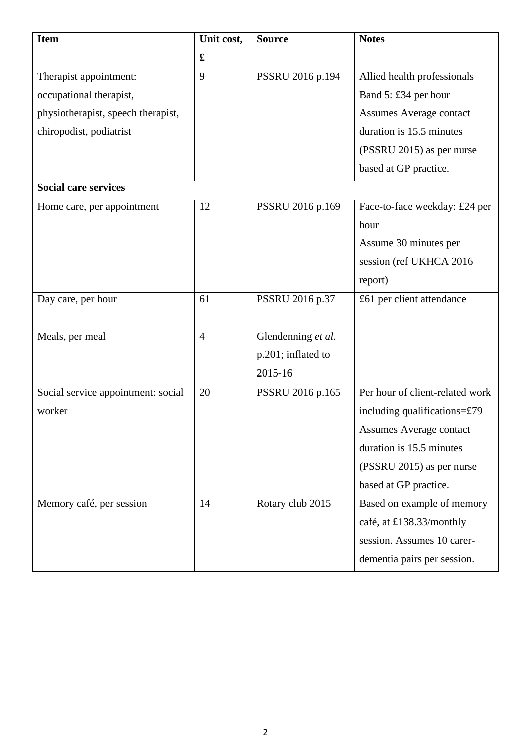| <b>Item</b>                        | Unit cost,     | <b>Source</b>      | <b>Notes</b>                    |
|------------------------------------|----------------|--------------------|---------------------------------|
|                                    | £              |                    |                                 |
| Therapist appointment:             | 9              | PSSRU 2016 p.194   | Allied health professionals     |
| occupational therapist,            |                |                    | Band 5: £34 per hour            |
| physiotherapist, speech therapist, |                |                    | <b>Assumes Average contact</b>  |
| chiropodist, podiatrist            |                |                    | duration is 15.5 minutes        |
|                                    |                |                    | (PSSRU 2015) as per nurse       |
|                                    |                |                    | based at GP practice.           |
| <b>Social care services</b>        |                |                    |                                 |
| Home care, per appointment         | 12             | PSSRU 2016 p.169   | Face-to-face weekday: £24 per   |
|                                    |                |                    | hour                            |
|                                    |                |                    | Assume 30 minutes per           |
|                                    |                |                    | session (ref UKHCA 2016)        |
|                                    |                |                    | report)                         |
| Day care, per hour                 | 61             | PSSRU 2016 p.37    | £61 per client attendance       |
|                                    |                |                    |                                 |
| Meals, per meal                    | $\overline{4}$ | Glendenning et al. |                                 |
|                                    |                | p.201; inflated to |                                 |
|                                    |                | 2015-16            |                                 |
| Social service appointment: social | 20             | PSSRU 2016 p.165   | Per hour of client-related work |
| worker                             |                |                    | including qualifications= $£79$ |
|                                    |                |                    | <b>Assumes Average contact</b>  |
|                                    |                |                    | duration is 15.5 minutes        |
|                                    |                |                    | (PSSRU 2015) as per nurse       |
|                                    |                |                    | based at GP practice.           |
| Memory café, per session           | 14             | Rotary club 2015   | Based on example of memory      |
|                                    |                |                    | café, at £138.33/monthly        |
|                                    |                |                    | session. Assumes 10 carer-      |
|                                    |                |                    | dementia pairs per session.     |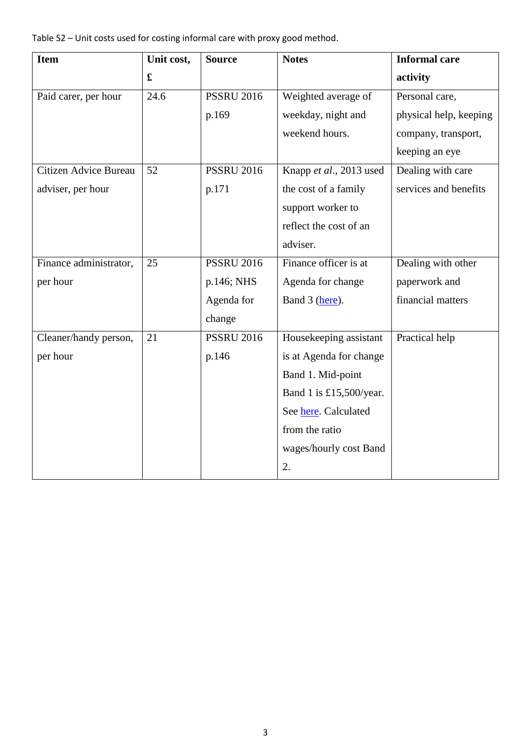Table S2 – Unit costs used for costing informal care with proxy good method.

| <b>Item</b>            | Unit cost,        | <b>Source</b>     | <b>Notes</b>            | <b>Informal care</b>   |
|------------------------|-------------------|-------------------|-------------------------|------------------------|
|                        | $\mathbf f$       |                   |                         | activity               |
| Paid carer, per hour   | $\overline{24.6}$ | <b>PSSRU 2016</b> | Weighted average of     | Personal care,         |
|                        |                   | p.169             | weekday, night and      | physical help, keeping |
|                        |                   |                   | weekend hours.          | company, transport,    |
|                        |                   |                   |                         | keeping an eye         |
| Citizen Advice Bureau  | 52                | <b>PSSRU 2016</b> | Knapp et al., 2013 used | Dealing with care      |
| adviser, per hour      |                   | p.171             | the cost of a family    | services and benefits  |
|                        |                   |                   | support worker to       |                        |
|                        |                   |                   | reflect the cost of an  |                        |
|                        |                   |                   | adviser.                |                        |
| Finance administrator, | 25                | <b>PSSRU 2016</b> | Finance officer is at   | Dealing with other     |
| per hour               |                   | p.146; NHS        | Agenda for change       | paperwork and          |
|                        |                   | Agenda for        | Band 3 (here).          | financial matters      |
|                        |                   | change            |                         |                        |
| Cleaner/handy person,  | 21                | <b>PSSRU 2016</b> | Housekeeping assistant  | Practical help         |
| per hour               |                   | p.146             | is at Agenda for change |                        |
|                        |                   |                   | Band 1. Mid-point       |                        |
|                        |                   |                   | Band 1 is £15,500/year. |                        |
|                        |                   |                   | See here. Calculated    |                        |
|                        |                   |                   | from the ratio          |                        |
|                        |                   |                   | wages/hourly cost Band  |                        |
|                        |                   |                   | 2.                      |                        |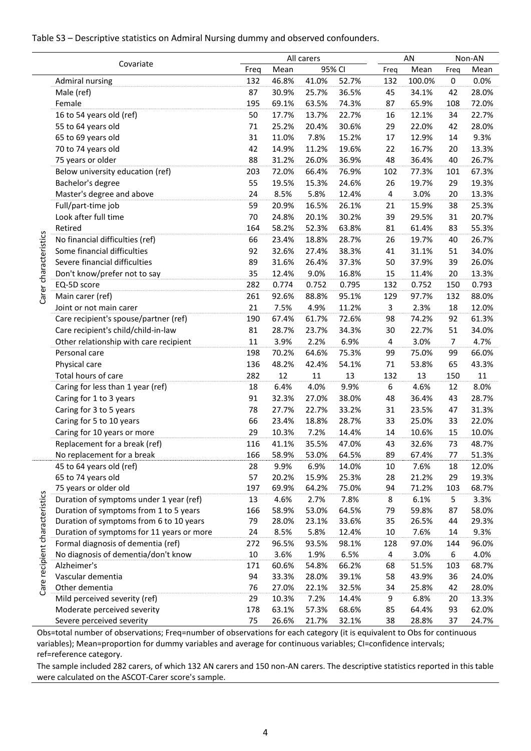## Table S3 – Descriptive statistics on Admiral Nursing dummy and observed confounders.

|                                |                                                                                   |           |                | All carers     |                |                | AN             |                | Non-AN         |
|--------------------------------|-----------------------------------------------------------------------------------|-----------|----------------|----------------|----------------|----------------|----------------|----------------|----------------|
|                                | Covariate                                                                         | Freq      | Mean           |                | 95% CI         | Freq           | Mean           | Freq           | Mean           |
|                                | Admiral nursing                                                                   | 132       | 46.8%          | 41.0%          | 52.7%          | 132            | 100.0%         | $\pmb{0}$      | 0.0%           |
|                                | Male (ref)                                                                        | 87        | 30.9%          | 25.7%          | 36.5%          | 45             | 34.1%          | 42             | 28.0%          |
|                                | Female                                                                            | 195       | 69.1%          | 63.5%          | 74.3%          | 87             | 65.9%          | 108            | 72.0%          |
|                                | 16 to 54 years old (ref)                                                          | 50        | 17.7%          | 13.7%          | 22.7%          | 16             | 12.1%          | 34             | 22.7%          |
|                                | 55 to 64 years old                                                                | 71        | 25.2%          | 20.4%          | 30.6%          | 29             | 22.0%          | 42             | 28.0%          |
|                                | 65 to 69 years old                                                                | 31        | 11.0%          | 7.8%           | 15.2%          | $17\,$         | 12.9%          | 14             | 9.3%           |
|                                | 70 to 74 years old                                                                | 42        | 14.9%          | 11.2%          | 19.6%          | 22             | 16.7%          | 20             | 13.3%          |
|                                | 75 years or older                                                                 | 88        | 31.2%          | 26.0%          | 36.9%          | 48             | 36.4%          | 40             | 26.7%          |
|                                | Below university education (ref)                                                  | 203       | 72.0%          | 66.4%          | 76.9%          | 102            | 77.3%          | 101            | 67.3%          |
|                                | Bachelor's degree                                                                 | 55        | 19.5%          | 15.3%          | 24.6%          | 26             | 19.7%          | 29             | 19.3%          |
|                                | Master's degree and above                                                         | 24        | 8.5%           | 5.8%           | 12.4%          | 4              | 3.0%           | 20             | 13.3%          |
|                                | Full/part-time job                                                                | 59        | 20.9%          | 16.5%          | 26.1%          | 21             | 15.9%          | 38             | 25.3%          |
|                                | Look after full time                                                              | 70        | 24.8%          | 20.1%          | 30.2%          | 39             | 29.5%          | 31             | 20.7%          |
|                                | Retired                                                                           | 164       | 58.2%          | 52.3%          | 63.8%          | 81             | 61.4%          | 83             | 55.3%          |
| Carer characteristics          | No financial difficulties (ref)                                                   | 66        | 23.4%          | 18.8%          | 28.7%          | 26             | 19.7%          | 40             | 26.7%          |
|                                | Some financial difficulties                                                       | 92        | 32.6%          | 27.4%          | 38.3%          | 41             | 31.1%          | 51             | 34.0%          |
|                                | Severe financial difficulties                                                     | 89        | 31.6%          | 26.4%          | 37.3%          | 50             | 37.9%          | 39             | 26.0%          |
|                                | Don't know/prefer not to say                                                      | 35        | 12.4%          | 9.0%           | 16.8%          | 15             | 11.4%          | 20             | 13.3%          |
|                                | EQ-5D score                                                                       | 282       | 0.774          | 0.752          | 0.795          | 132            | 0.752          | 150            | 0.793          |
|                                | Main carer (ref)                                                                  | 261       | 92.6%          | 88.8%          | 95.1%          | 129            | 97.7%          | 132            | 88.0%          |
|                                | Joint or not main carer                                                           | 21        | 7.5%           | 4.9%           | 11.2%          | 3              | 2.3%           | 18             | 12.0%          |
|                                | Care recipient's spouse/partner (ref)                                             | 190       | 67.4%          | 61.7%          | 72.6%          | 98             | 74.2%          | 92             | 61.3%          |
|                                | Care recipient's child/child-in-law                                               | 81        | 28.7%          | 23.7%          | 34.3%          | 30             | 22.7%          | 51             | 34.0%          |
|                                | Other relationship with care recipient                                            | $11\,$    | 3.9%           | 2.2%           | 6.9%           | $\overline{4}$ | 3.0%           | $\overline{7}$ | 4.7%           |
|                                | Personal care                                                                     | 198       | 70.2%          | 64.6%          | 75.3%          | 99             | 75.0%          | 99             | 66.0%          |
|                                | Physical care                                                                     | 136       | 48.2%          | 42.4%          | 54.1%          | 71             | 53.8%          | 65             | 43.3%          |
|                                | Total hours of care                                                               | 282       | 12             | 11             | 13             | 132            | 13             | 150            | 11             |
|                                | Caring for less than 1 year (ref)                                                 | 18        | 6.4%           | 4.0%           | 9.9%           | 6              | 4.6%           | 12             | 8.0%           |
|                                | Caring for 1 to 3 years                                                           | 91        | 32.3%          | 27.0%          | 38.0%          | 48             | 36.4%          | 43             | 28.7%          |
|                                | Caring for 3 to 5 years                                                           | 78        | 27.7%          | 22.7%          | 33.2%          | 31             | 23.5%          | 47             | 31.3%          |
|                                | Caring for 5 to 10 years                                                          | 66        | 23.4%          | 18.8%          | 28.7%          | 33             | 25.0%          | 33             | 22.0%          |
|                                | Caring for 10 years or more                                                       | 29        | 10.3%          | 7.2%           | 14.4%          | 14             | 10.6%          | 15             | 10.0%          |
|                                | Replacement for a break (ref)                                                     | 116       | 41.1%          | 35.5%          | 47.0%          | 43             | 32.6%          | 73             | 48.7%          |
|                                | No replacement for a break                                                        | 166       | 58.9%          | 53.0%          | 64.5%          | 89             | 67.4%          | 77             | 51.3%          |
|                                | 45 to 64 years old (ref)                                                          | 28        | 9.9%           | 6.9%           | 14.0%          | 10             | 7.6%           | 18             | 12.0%          |
|                                | 65 to 74 years old                                                                | 57        | 20.2%          | 15.9%          | 25.3%          | 28             | 21.2%          | 29             | 19.3%          |
|                                | 75 years or older old                                                             | 197       | 69.9%          | 64.2%          | 75.0%          | 94             | 71.2%          | 103            | 68.7%          |
|                                | Duration of symptoms under 1 year (ref)                                           | 13        | 4.6%           | 2.7%           | 7.8%           | 8              | 6.1%           | 5              | 3.3%           |
|                                | Duration of symptoms from 1 to 5 years<br>Duration of symptoms from 6 to 10 years | 166<br>79 | 58.9%<br>28.0% | 53.0%<br>23.1% | 64.5%<br>33.6% | 79<br>35       | 59.8%<br>26.5% | 87<br>44       | 58.0%<br>29.3% |
|                                | Duration of symptoms for 11 years or more                                         | 24        | 8.5%           | 5.8%           | 12.4%          | 10             | 7.6%           | 14             | 9.3%           |
|                                | Formal diagnosis of dementia (ref)                                                | 272       | 96.5%          | 93.5%          | 98.1%          | 128            | 97.0%          | 144            | 96.0%          |
|                                | No diagnosis of dementia/don't know                                               | 10        | 3.6%           | 1.9%           | 6.5%           | 4              | 3.0%           | 6              | 4.0%           |
| Care recipient characteristics | Alzheimer's                                                                       | 171       | 60.6%          | 54.8%          | 66.2%          | 68             | 51.5%          | 103            | 68.7%          |
|                                | Vascular dementia                                                                 | 94        | 33.3%          | 28.0%          | 39.1%          | 58             | 43.9%          | 36             | 24.0%          |
|                                | Other dementia                                                                    | 76        | 27.0%          | 22.1%          | 32.5%          | 34             | 25.8%          | 42             | 28.0%          |
|                                | Mild perceived severity (ref)                                                     | 29        | 10.3%          | 7.2%           | 14.4%          | 9              | 6.8%           | 20             | 13.3%          |
|                                | Moderate perceived severity                                                       | 178       | 63.1%          | 57.3%          | 68.6%          | 85             | 64.4%          | 93             | 62.0%          |
|                                | Severe perceived severity                                                         | 75        | 26.6%          | 21.7%          | 32.1%          | 38             | 28.8%          | 37             | 24.7%          |

Obs=total number of observations; Freq=number of observations for each category (it is equivalent to Obs for continuous variables); Mean=proportion for dummy variables and average for continuous variables; CI=confidence intervals; ref=reference category.

The sample included 282 carers, of which 132 AN carers and 150 non-AN carers. The descriptive statistics reported in this table were calculated on the ASCOT-Carer score's sample.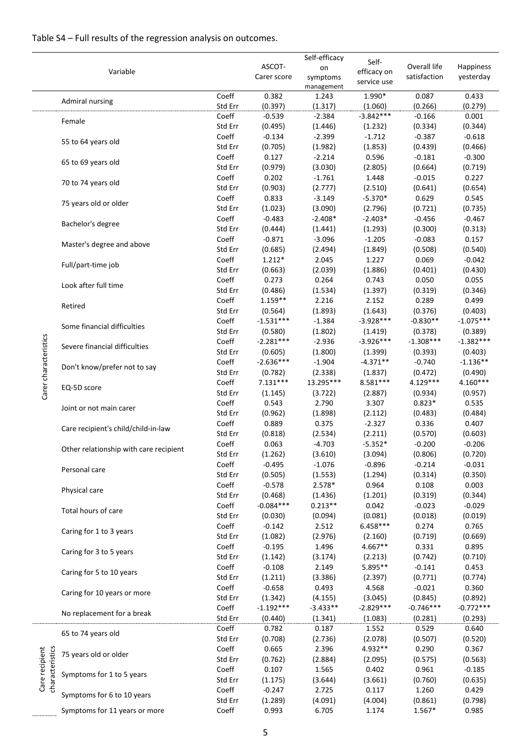## Table S4 – Full results of the regression analysis on outcomes.

|                                   |                                                                             |                  |                        | Self-efficacy                |                                     |                              |                        |
|-----------------------------------|-----------------------------------------------------------------------------|------------------|------------------------|------------------------------|-------------------------------------|------------------------------|------------------------|
|                                   | Variable                                                                    |                  | ASCOT-<br>Carer score  | on<br>symptoms<br>management | Self-<br>efficacy on<br>service use | Overall life<br>satisfaction | Happiness<br>yesterday |
|                                   | Admiral nursing                                                             | Coeff<br>Std Err | 0.382<br>(0.397)       | 1.243<br>(1.317)             | 1.990*<br>(1.060)                   | 0.087<br>(0.266)             | 0.433<br>(0.279)       |
|                                   | Female                                                                      | Coeff<br>Std Err | $-0.539$<br>(0.495)    | $-2.384$<br>(1.446)          | $-3.842***$<br>(1.232)              | $-0.166$<br>(0.334)          | 0.001<br>(0.344)       |
|                                   | 55 to 64 years old                                                          | Coeff<br>Std Err | $-0.134$<br>(0.705)    | $-2.399$<br>(1.982)          | $-1.712$<br>(1.853)                 | $-0.387$<br>(0.439)          | $-0.618$<br>(0.466)    |
|                                   | 65 to 69 years old                                                          | Coeff<br>Std Err | 0.127<br>(0.979)       | $-2.214$<br>(3.030)          | 0.596<br>(2.805)                    | $-0.181$<br>(0.664)          | $-0.300$<br>(0.719)    |
|                                   | 70 to 74 years old                                                          | Coeff<br>Std Err | 0.202<br>(0.903)       | $-1.761$<br>(2.777)          | 1.448<br>(2.510)                    | $-0.015$<br>(0.641)          | 0.227<br>(0.654)       |
|                                   | 75 years old or older                                                       | Coeff<br>Std Err | 0.833<br>(1.023)       | $-3.149$<br>(3.090)          | $-5.370*$<br>(2.796)                | 0.629<br>(0.721)             | 0.545<br>(0.735)       |
|                                   | Bachelor's degree                                                           | Coeff<br>Std Err | $-0.483$<br>(0.444)    | $-2.408*$<br>(1.441)         | $-2.403*$<br>(1.293)                | $-0.456$<br>(0.300)          | $-0.467$<br>(0.313)    |
|                                   | Master's degree and above                                                   | Coeff<br>Std Err | $-0.871$<br>(0.685)    | $-3.096$<br>(2.494)          | $-1.205$<br>(1.849)                 | $-0.083$<br>(0.508)          | 0.157<br>(0.540)       |
|                                   | Full/part-time job                                                          | Coeff<br>Std Err | $1.212*$<br>(0.663)    | 2.045<br>(2.039)             | 1.227<br>(1.886)                    | 0.069<br>(0.401)             | $-0.042$<br>(0.430)    |
|                                   | Look after full time                                                        | Coeff<br>Std Err | 0.273<br>(0.486)       | 0.264<br>(1.534)             | 0.743<br>(1.397)                    | 0.050<br>(0.319)             | 0.055<br>(0.346)       |
|                                   | Retired                                                                     | Coeff<br>Std Err | $1.159**$<br>(0.564)   | 2.216<br>(1.893)             | 2.152<br>(1.643)                    | 0.289<br>(0.376)             | 0.499<br>(0.403)       |
|                                   | Some financial difficulties                                                 | Coeff<br>Std Err | $-1.531***$<br>(0.580) | $-1.384$<br>(1.802)          | $-3.928***$<br>(1.419)              | $-0.830**$<br>(0.378)        | $-1.075***$<br>(0.389) |
| Carer characteristics             | $-2.281***$<br>Coeff<br>Severe financial difficulties<br>Std Err<br>(0.605) |                  | $-2.936$<br>(1.800)    | $-3.926***$<br>(1.399)       | $-1.308***$<br>(0.393)              | $-1.382***$<br>(0.403)       |                        |
|                                   | Don't know/prefer not to say                                                | Coeff<br>Std Err | $-2.636***$<br>(0.782) | $-1.904$<br>(2.338)          | $-4.371**$<br>(1.837)               | $-0.740$<br>(0.472)          | $-1.136**$<br>(0.490)  |
|                                   | EQ-5D score                                                                 | Coeff<br>Std Err | $7.131***$<br>(1.145)  | 13.295***<br>(3.722)         | 8.581***<br>(2.887)                 | $4.129***$<br>(0.934)        | 4.160***<br>(0.957)    |
|                                   | Joint or not main carer                                                     | Coeff<br>Std Err | 0.543<br>(0.962)       | 2.790<br>(1.898)             | 3.307<br>(2.112)                    | $0.823*$<br>(0.483)          | 0.535<br>(0.484)       |
|                                   | Care recipient's child/child-in-law                                         | Coeff<br>Std Err | 0.889<br>(0.818)       | 0.375<br>(2.534)             | $-2.327$<br>(2.211)                 | 0.336<br>(0.570)             | 0.407<br>(0.603)       |
|                                   | Other relationship with care recipient                                      | Coeff<br>Std Err | 0.063<br>(1.262)       | $-4.703$<br>(3.610)          | $-5.352*$<br>(3.094)                | $-0.200$<br>(0.806)          | $-0.206$<br>(0.720)    |
|                                   | Personal care                                                               | Coeff<br>Std Err | $-0.495$<br>(0.505)    | $-1.076$<br>(1.553)          | $-0.896$<br>(1.294)                 | $-0.214$<br>(0.314)          | $-0.031$<br>(0.350)    |
|                                   | Physical care                                                               | Coeff<br>Std Err | $-0.578$<br>(0.468)    | $2.578*$<br>(1.436)          | 0.964<br>(1.201)                    | 0.108<br>(0.319)             | 0.003<br>(0.344)       |
|                                   | Total hours of care                                                         | Coeff<br>Std Err | $-0.084***$<br>(0.030) | $0.213**$<br>(0.094)         | 0.042<br>(0.081)                    | $-0.023$<br>(0.018)          | $-0.029$<br>(0.019)    |
|                                   | Caring for 1 to 3 years                                                     | Coeff<br>Std Err | $-0.142$<br>(1.082)    | 2.512<br>(2.976)             | $6.458***$<br>(2.160)               | 0.274<br>(0.719)             | 0.765<br>(0.669)       |
|                                   | Caring for 3 to 5 years                                                     | Coeff<br>Std Err | $-0.195$<br>(1.142)    | 1.496<br>(3.174)             | 4.667**<br>(2.213)                  | 0.331<br>(0.742)             | 0.895<br>(0.710)       |
|                                   | Caring for 5 to 10 years                                                    | Coeff<br>Std Err | $-0.108$<br>(1.211)    | 2.149<br>(3.386)             | 5.895**<br>(2.397)                  | $-0.141$<br>(0.771)          | 0.453<br>(0.774)       |
|                                   | Caring for 10 years or more                                                 | Coeff<br>Std Err | $-0.658$<br>(1.342)    | 0.493<br>(4.155)             | 4.568<br>(3.045)                    | $-0.021$<br>(0.845)          | 0.360<br>(0.892)       |
|                                   | No replacement for a break                                                  | Coeff<br>Std Err | $-1.192***$<br>(0.440) | $-3.433**$<br>(1.341)        | $-2.829***$<br>(1.083)              | $-0.746***$<br>(0.281)       | $-0.772***$<br>(0.293) |
|                                   | 65 to 74 years old                                                          | Coeff<br>Std Err | 0.782<br>(0.708)       | 0.187<br>(2.736)             | 1.552<br>(2.078)                    | 0.529<br>(0.507)             | 0.640<br>(0.520)       |
|                                   | 75 years old or older                                                       | Coeff<br>Std Err | 0.665<br>(0.762)       | 2.396<br>(2.884)             | 4.932**<br>(2.095)                  | 0.290<br>(0.575)             | 0.367<br>(0.563)       |
| Care recipient<br>characteristics | Symptoms for 1 to 5 years                                                   | Coeff<br>Std Err | 0.107<br>(1.175)       | 1.565<br>(3.644)             | 0.402<br>(3.661)                    | 0.961<br>(0.760)             | $-0.185$<br>(0.635)    |
|                                   | Symptoms for 6 to 10 years                                                  | Coeff<br>Std Err | $-0.247$<br>(1.289)    | 2.725<br>(4.091)             | 0.117<br>(4.004)                    | 1.260<br>(0.861)             | 0.429<br>(0.798)       |
|                                   | Symptoms for 11 years or more                                               | Coeff            | 0.993                  | 6.705                        | 1.174                               | $1.567*$                     | 0.985                  |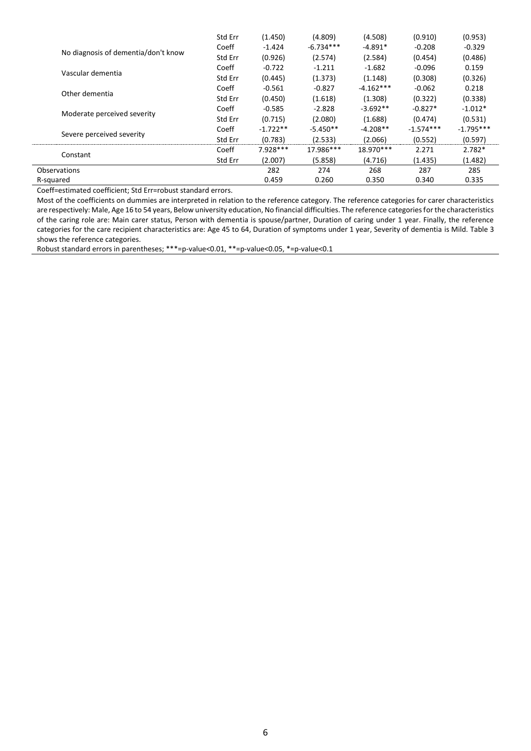|                                     | Std Err | (1.450)    | (4.809)     | (4.508)     | (0.910)     | (0.953)     |
|-------------------------------------|---------|------------|-------------|-------------|-------------|-------------|
|                                     | Coeff   | $-1.424$   | $-6.734***$ | $-4.891*$   | $-0.208$    | $-0.329$    |
| No diagnosis of dementia/don't know | Std Err | (0.926)    | (2.574)     | (2.584)     | (0.454)     | (0.486)     |
| Vascular dementia                   | Coeff   | $-0.722$   | $-1.211$    | $-1.682$    | $-0.096$    | 0.159       |
|                                     | Std Err | (0.445)    | (1.373)     | (1.148)     | (0.308)     | (0.326)     |
| Other dementia                      | Coeff   | $-0.561$   | $-0.827$    | $-4.162***$ | $-0.062$    | 0.218       |
|                                     | Std Err | (0.450)    | (1.618)     | (1.308)     | (0.322)     | (0.338)     |
|                                     | Coeff   | $-0.585$   | $-2.828$    | $-3.692**$  | $-0.827*$   | $-1.012*$   |
| Moderate perceived severity         | Std Err | (0.715)    | (2.080)     | (1.688)     | (0.474)     | (0.531)     |
|                                     | Coeff   | $-1.722**$ | $-5.450**$  | $-4.208**$  | $-1.574***$ | $-1.795***$ |
| Severe perceived severity           | Std Err | (0.783)    | (2.533)     | (2.066)     | (0.552)     | (0.597)     |
| Constant                            | Coeff   | 7.928 ***  | 17.986***   | 18.970***   | 2.271       | $2.782*$    |
|                                     | Std Err | (2.007)    | (5.858)     | (4.716)     | (1.435)     | (1.482)     |
| Observations                        |         | 282        | 274         | 268         | 287         | 285         |
| R-squared                           |         | 0.459      | 0.260       | 0.350       | 0.340       | 0.335       |

Coeff=estimated coefficient; Std Err=robust standard errors.

Most of the coefficients on dummies are interpreted in relation to the reference category. The reference categories for carer characteristics are respectively: Male, Age 16 to 54 years, Below university education, No financial difficulties. The reference categories for the characteristics of the caring role are: Main carer status, Person with dementia is spouse/partner, Duration of caring under 1 year. Finally, the reference categories for the care recipient characteristics are: Age 45 to 64, Duration of symptoms under 1 year, Severity of dementia is Mild. Table 3 shows the reference categories.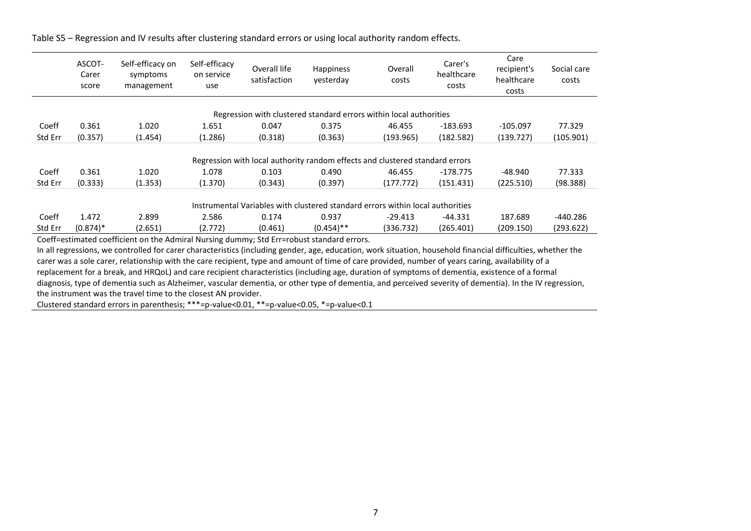|         | ASCOT-<br>Carer<br>score                                                       | Self-efficacy on<br>symptoms<br>management | Self-efficacy<br>on service<br>use | Overall life<br>satisfaction | Happiness<br>vesterday | Overall<br>costs                                                             | Carer's<br>healthcare<br>costs | Care<br>recipient's<br>healthcare<br>costs | Social care<br>costs |  |  |  |
|---------|--------------------------------------------------------------------------------|--------------------------------------------|------------------------------------|------------------------------|------------------------|------------------------------------------------------------------------------|--------------------------------|--------------------------------------------|----------------------|--|--|--|
|         |                                                                                |                                            |                                    |                              |                        | Regression with clustered standard errors within local authorities           |                                |                                            |                      |  |  |  |
|         |                                                                                |                                            |                                    |                              |                        |                                                                              |                                |                                            |                      |  |  |  |
| Coeff   | 0.361                                                                          | 1.020                                      | 1.651                              | 0.047                        | 0.375                  | 46.455                                                                       | $-183.693$                     | $-105.097$                                 | 77.329               |  |  |  |
| Std Err | (0.357)                                                                        | (1.454)                                    | (1.286)                            | (0.318)                      | (0.363)                | (193.965)                                                                    | (182.582)                      | (139.727)                                  | (105.901)            |  |  |  |
|         |                                                                                |                                            |                                    |                              |                        | Regression with local authority random effects and clustered standard errors |                                |                                            |                      |  |  |  |
| Coeff   | 0.361                                                                          | 1.020                                      | 1.078                              | 0.103                        | 0.490                  | 46.455                                                                       | $-178.775$                     | $-48.940$                                  | 77.333               |  |  |  |
| Std Err | (0.333)                                                                        | (1.353)                                    | (1.370)                            | (0.343)                      | (0.397)                | (177.772)                                                                    | (151.431)                      | (225.510)                                  | (98.388)             |  |  |  |
|         | Instrumental Variables with clustered standard errors within local authorities |                                            |                                    |                              |                        |                                                                              |                                |                                            |                      |  |  |  |
| Coeff   | 1.472                                                                          | 2.899                                      | 2.586                              | 0.174                        | 0.937                  | $-29.413$                                                                    | $-44.331$                      | 187.689                                    | -440.286             |  |  |  |
| Std Err | $(0.874)*$                                                                     | (2.651)                                    | (2.772)                            | (0.461)                      | $(0.454)$ **           | (336.732)                                                                    | (265.401)                      | (209.150)                                  | (293.622)            |  |  |  |

Table S5 – Regression and IV results after clustering standard errors or using local authority random effects.

Coeff=estimated coefficient on the Admiral Nursing dummy; Std Err=robust standard errors.

In all regressions, we controlled for carer characteristics (including gender, age, education, work situation, household financial difficulties, whether the carer was a sole carer, relationship with the care recipient, type and amount of time of care provided, number of years caring, availability of a replacement for a break, and HRQoL) and care recipient characteristics (including age, duration of symptoms of dementia, existence of a formal diagnosis, type of dementia such as Alzheimer, vascular dementia, or other type of dementia, and perceived severity of dementia). In the IV regression, the instrument was the travel time to the closest AN provider.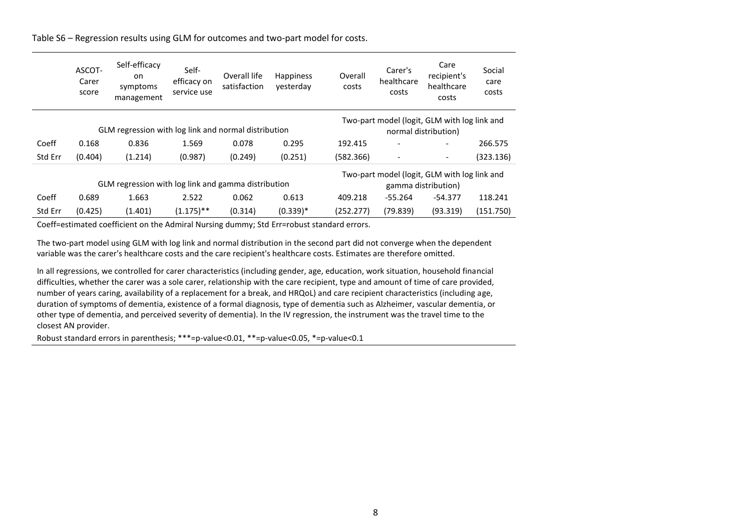|         | ASCOT-<br>Carer<br>score | Self-efficacy<br>on<br>symptoms<br>management        | Self-<br>efficacy on<br>service use | Overall life<br>satisfaction | Overall<br>Happiness<br>vesterday<br>costs |           | Carer's<br>healthcare<br>costs               | Care<br>recipient's<br>healthcare<br>costs | Social<br>care<br>costs |
|---------|--------------------------|------------------------------------------------------|-------------------------------------|------------------------------|--------------------------------------------|-----------|----------------------------------------------|--------------------------------------------|-------------------------|
|         |                          |                                                      |                                     |                              |                                            |           | Two-part model (logit, GLM with log link and |                                            |                         |
|         |                          | GLM regression with log link and normal distribution |                                     |                              |                                            |           | normal distribution)                         |                                            |                         |
| Coeff   | 0.168                    | 0.836                                                | 1.569                               | 0.078                        | 0.295                                      | 192.415   |                                              |                                            | 266.575                 |
| Std Err | (0.404)                  | (1.214)                                              | (0.987)                             | (0.249)                      | (0.251)                                    | (582.366) |                                              |                                            | (323.136)               |
|         |                          |                                                      |                                     |                              |                                            |           | Two-part model (logit, GLM with log link and |                                            |                         |
|         |                          | GLM regression with log link and gamma distribution  |                                     |                              |                                            |           |                                              | gamma distribution)                        |                         |
| Coeff   | 0.689                    | 1.663                                                | 2.522                               | 0.062                        | 0.613                                      | 409.218   | $-55.264$                                    | $-54.377$                                  | 118.241                 |
| Std Err | (0.425)                  | (1.401)                                              | $(1.175)$ **                        | (0.314)                      | $(0.339)*$                                 | (252.277) | (79.839)                                     | (93.319)                                   | (151.750)               |

Table S6 – Regression results using GLM for outcomes and two-part model for costs.

Coeff=estimated coefficient on the Admiral Nursing dummy; Std Err=robust standard errors.

The two-part model using GLM with log link and normal distribution in the second part did not converge when the dependent variable was the carer's healthcare costs and the care recipient's healthcare costs. Estimates are therefore omitted.

In all regressions, we controlled for carer characteristics (including gender, age, education, work situation, household financial difficulties, whether the carer was a sole carer, relationship with the care recipient, type and amount of time of care provided, number of years caring, availability of a replacement for a break, and HRQoL) and care recipient characteristics (including age, duration of symptoms of dementia, existence of a formal diagnosis, type of dementia such as Alzheimer, vascular dementia, or other type of dementia, and perceived severity of dementia). In the IV regression, the instrument was the travel time to the closest AN provider.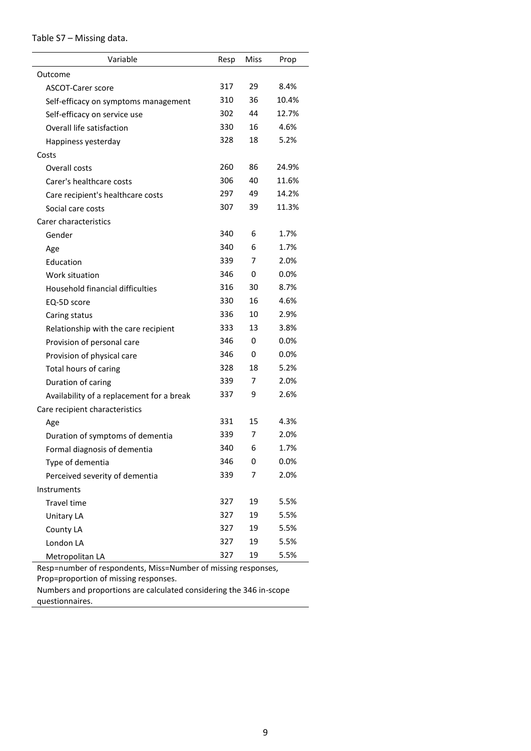| Table S7 - Missing data. |  |  |  |
|--------------------------|--|--|--|
|--------------------------|--|--|--|

| Variable                                  | Resp | Miss | Prop    |
|-------------------------------------------|------|------|---------|
| Outcome                                   |      |      |         |
| <b>ASCOT-Carer score</b>                  | 317  | 29   | 8.4%    |
| Self-efficacy on symptoms management      | 310  | 36   | 10.4%   |
| Self-efficacy on service use              | 302  | 44   | 12.7%   |
| Overall life satisfaction                 | 330  | 16   | 4.6%    |
| Happiness yesterday                       | 328  | 18   | 5.2%    |
| Costs                                     |      |      |         |
| Overall costs                             | 260  | 86   | 24.9%   |
| Carer's healthcare costs                  | 306  | 40   | 11.6%   |
| Care recipient's healthcare costs         | 297  | 49   | 14.2%   |
| Social care costs                         | 307  | 39   | 11.3%   |
| Carer characteristics                     |      |      |         |
| Gender                                    | 340  | 6    | 1.7%    |
| Age                                       | 340  | 6    | 1.7%    |
| Education                                 | 339  | 7    | 2.0%    |
| Work situation                            | 346  | 0    | 0.0%    |
| Household financial difficulties          | 316  | 30   | 8.7%    |
| EQ-5D score                               | 330  | 16   | 4.6%    |
| Caring status                             | 336  | 10   | 2.9%    |
| Relationship with the care recipient      | 333  | 13   | 3.8%    |
| Provision of personal care                | 346  | 0    | 0.0%    |
| Provision of physical care                | 346  | 0    | $0.0\%$ |
| Total hours of caring                     | 328  | 18   | 5.2%    |
| Duration of caring                        | 339  | 7    | 2.0%    |
| Availability of a replacement for a break | 337  | 9    | 2.6%    |
| Care recipient characteristics            |      |      |         |
| Age                                       | 331  | 15   | 4.3%    |
| Duration of symptoms of dementia          | 339  | 7    | 2.0%    |
| Formal diagnosis of dementia              | 340  | 6    | 1.7%    |
| Type of dementia                          | 346  | 0    | 0.0%    |
| Perceived severity of dementia            | 339  | 7    | 2.0%    |
| Instruments                               |      |      |         |
| Travel time                               | 327  | 19   | 5.5%    |
| <b>Unitary LA</b>                         | 327  | 19   | 5.5%    |
| County LA                                 | 327  | 19   | 5.5%    |
| London LA                                 | 327  | 19   | 5.5%    |
| Metropolitan LA                           | 327  | 19   | 5.5%    |

Resp=number of respondents, Miss=Number of missing responses,

Prop=proportion of missing responses.

Numbers and proportions are calculated considering the 346 in-scope questionnaires.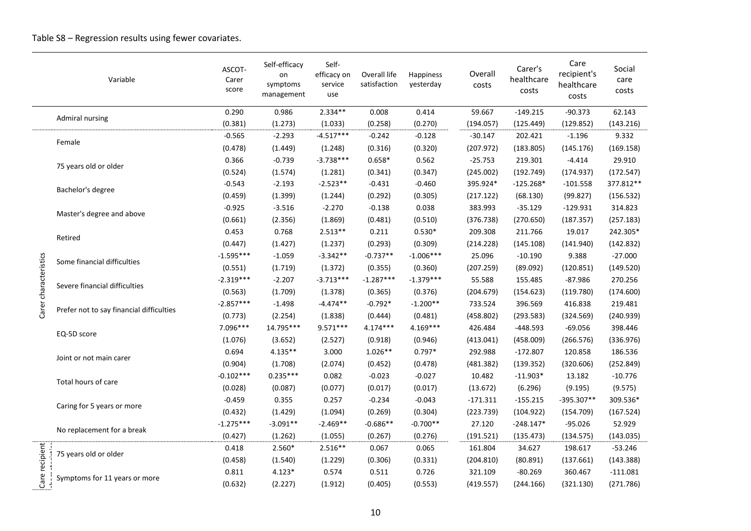|                       | Variable                                 | ASCOT-<br>Carer<br>score | Self-efficacy<br>on<br>symptoms<br>management | Self-<br>efficacy on<br>service<br>use | Overall life<br>satisfaction | Happiness<br>yesterday | Overall<br>costs | Carer's<br>healthcare<br>costs | Care<br>recipient's<br>healthcare<br>costs | Social<br>care<br>costs |
|-----------------------|------------------------------------------|--------------------------|-----------------------------------------------|----------------------------------------|------------------------------|------------------------|------------------|--------------------------------|--------------------------------------------|-------------------------|
|                       |                                          | 0.290                    | 0.986                                         | $2.334**$                              | 0.008                        | 0.414                  | 59.667           | $-149.215$                     | $-90.373$                                  | 62.143                  |
|                       | <b>Admiral nursing</b>                   | (0.381)                  | (1.273)                                       | (1.033)                                | (0.258)                      | (0.270)                | (194.057)        | (125.449)                      | (129.852)                                  | (143.216)               |
|                       | Female                                   | $-0.565$                 | $-2.293$                                      | $-4.517***$                            | $-0.242$                     | $-0.128$               | $-30.147$        | 202.421                        | $-1.196$                                   | 9.332                   |
|                       |                                          | (0.478)                  | (1.449)                                       | (1.248)                                | (0.316)                      | (0.320)                | (207.972)        | (183.805)                      | (145.176)                                  | (169.158)               |
|                       | 75 years old or older                    | 0.366                    | $-0.739$                                      | $-3.738***$                            | $0.658*$                     | 0.562                  | $-25.753$        | 219.301                        | $-4.414$                                   | 29.910                  |
|                       |                                          | (0.524)                  | (1.574)                                       | (1.281)                                | (0.341)                      | (0.347)                | (245.002)        | (192.749)                      | (174.937)                                  | (172.547)               |
|                       | Bachelor's degree                        | $-0.543$                 | $-2.193$                                      | $-2.523**$                             | $-0.431$                     | $-0.460$               | 395.924*         | $-125.268*$                    | $-101.558$                                 | 377.812**               |
|                       |                                          | (0.459)                  | (1.399)                                       | (1.244)                                | (0.292)                      | (0.305)                | (217.122)        | (68.130)                       | (99.827)                                   | (156.532)               |
|                       | Master's degree and above                | $-0.925$                 | $-3.516$                                      | $-2.270$                               | $-0.138$                     | 0.038                  | 383.993          | $-35.129$                      | $-129.931$                                 | 314.823                 |
|                       |                                          | (0.661)                  | (2.356)                                       | (1.869)                                | (0.481)                      | (0.510)                | (376.738)        | (270.650)                      | (187.357)                                  | (257.183)               |
|                       | Retired                                  | 0.453                    | 0.768                                         | $2.513**$                              | 0.211                        | $0.530*$               | 209.308          | 211.766                        | 19.017                                     | 242.305*                |
|                       |                                          | (0.447)                  | (1.427)                                       | (1.237)                                | (0.293)                      | (0.309)                | (214.228)        | (145.108)                      | (141.940)                                  | (142.832)               |
|                       | Some financial difficulties              | $-1.595***$              | $-1.059$                                      | $-3.342**$                             | $-0.737**$                   | $-1.006***$            | 25.096           | $-10.190$                      | 9.388                                      | $-27.000$               |
| Carer characteristics |                                          | (0.551)                  | (1.719)                                       | (1.372)                                | (0.355)                      | (0.360)                | (207.259)        | (89.092)                       | (120.851)                                  | (149.520)               |
|                       | Severe financial difficulties            | $-2.319***$              | $-2.207$                                      | $-3.713***$                            | $-1.287***$                  | $-1.379***$            | 55.588           | 155.485                        | $-87.986$                                  | 270.256                 |
|                       |                                          | (0.563)                  | (1.709)                                       | (1.378)                                | (0.365)                      | (0.376)                | (204.679)        | (154.623)                      | (119.780)                                  | (174.600)               |
|                       |                                          | $-2.857***$              | $-1.498$                                      | $-4.474**$                             | $-0.792*$                    | $-1.200**$             | 733.524          | 396.569                        | 416.838                                    | 219.481                 |
|                       | Prefer not to say financial difficulties | (0.773)                  | (2.254)                                       | (1.838)                                | (0.444)                      | (0.481)                | (458.802)        | (293.583)                      | (324.569)                                  | (240.939)               |
|                       |                                          | 7.096***                 | 14.795***                                     | $9.571***$                             | $4.174***$                   | $4.169***$             | 426.484          | $-448.593$                     | $-69.056$                                  | 398.446                 |
|                       | EQ-5D score                              | (1.076)                  | (3.652)                                       | (2.527)                                | (0.918)                      | (0.946)                | (413.041)        | (458.009)                      | (266.576)                                  | (336.976)               |
|                       |                                          | 0.694                    | $4.135**$                                     | 3.000                                  | $1.026**$                    | $0.797*$               | 292.988          | $-172.807$                     | 120.858                                    | 186.536                 |
|                       | Joint or not main carer                  | (0.904)                  | (1.708)                                       | (2.074)                                | (0.452)                      | (0.478)                | (481.382)        | (139.352)                      | (320.606)                                  | (252.849)               |
|                       |                                          | $-0.102***$              | $0.235***$                                    | 0.082                                  | $-0.023$                     | $-0.027$               | 10.482           | $-11.903*$                     | 13.182                                     | $-10.776$               |
|                       | Total hours of care                      | (0.028)                  | (0.087)                                       | (0.077)                                | (0.017)                      | (0.017)                | (13.672)         | (6.296)                        | (9.195)                                    | (9.575)                 |
|                       |                                          | $-0.459$                 | 0.355                                         | 0.257                                  | $-0.234$                     | $-0.043$               | $-171.311$       | $-155.215$                     | -395.307**                                 | 309.536*                |
|                       | Caring for 5 years or more               | (0.432)                  | (1.429)                                       | (1.094)                                | (0.269)                      | (0.304)                | (223.739)        | (104.922)                      | (154.709)                                  | (167.524)               |
|                       |                                          | $-1.275***$              | $-3.091**$                                    | $-2.469**$                             | $-0.686**$                   | $-0.700**$             | 27.120           | $-248.147*$                    | $-95.026$                                  | 52.929                  |
|                       | No replacement for a break               | (0.427)                  | (1.262)                                       | (1.055)                                | (0.267)                      | (0.276)                | (191.521)        | (135.473)                      | (134.575)                                  | (143.035)               |
|                       |                                          | 0.418                    | 2.560*                                        | $2.516**$                              | 0.067                        | 0.065                  | 161.804          | 34.627                         | 198.617                                    | $-53.246$               |
|                       | 75 years old or older                    | (0.458)                  | (1.540)                                       | (1.229)                                | (0.306)                      | (0.331)                | (204.810)        | (80.891)                       | (137.661)                                  | (143.388)               |
|                       |                                          | 0.811                    | $4.123*$                                      | 0.574                                  | 0.511                        | 0.726                  | 321.109          | $-80.269$                      | 360.467                                    | $-111.081$              |
| Care recipient        | Symptoms for 11 years or more            | (0.632)                  | (2.227)                                       | (1.912)                                | (0.405)                      | (0.553)                | (419.557)        | (244.166)                      | (321.130)                                  | (271.786)               |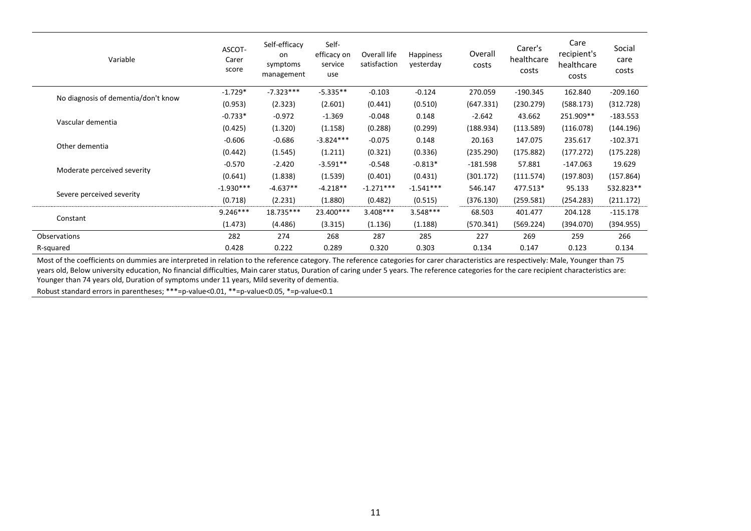| Variable                            | ASCOT-<br>Carer<br>score | Self-efficacy<br>on<br>symptoms<br>management | Self-<br>efficacy on<br>service<br>use | Overall life<br>satisfaction | <b>Happiness</b><br>yesterday | Overall<br>costs | Carer's<br>healthcare<br>costs | Care<br>recipient's<br>healthcare<br>costs | Social<br>care<br>costs |
|-------------------------------------|--------------------------|-----------------------------------------------|----------------------------------------|------------------------------|-------------------------------|------------------|--------------------------------|--------------------------------------------|-------------------------|
|                                     | $-1.729*$                | $-7.323***$                                   | $-5.335**$                             | $-0.103$                     | $-0.124$                      | 270.059          | $-190.345$                     | 162.840                                    | $-209.160$              |
| No diagnosis of dementia/don't know | (0.953)                  | (2.323)                                       | (2.601)                                | (0.441)                      | (0.510)                       | (647.331)        | (230.279)                      | (588.173)                                  | (312.728)               |
|                                     | $-0.733*$                | $-0.972$                                      | $-1.369$                               | $-0.048$                     | 0.148                         | $-2.642$         | 43.662                         | 251.909**                                  | $-183.553$              |
| Vascular dementia                   | (0.425)                  | (1.320)                                       | (1.158)                                | (0.288)                      | (0.299)                       | (188.934)        | (113.589)                      | (116.078)                                  | (144.196)               |
| Other dementia                      | $-0.606$                 | $-0.686$                                      | $-3.824***$                            | $-0.075$                     | 0.148                         | 20.163           | 147.075                        | 235.617                                    | $-102.371$              |
|                                     | (0.442)                  | (1.545)                                       | (1.211)                                | (0.321)                      | (0.336)                       | (235.290)        | (175.882)                      | (177.272)                                  | (175.228)               |
|                                     | $-0.570$                 | $-2.420$                                      | $-3.591**$                             | $-0.548$                     | $-0.813*$                     | $-181.598$       | 57.881                         | $-147.063$                                 | 19.629                  |
| Moderate perceived severity         | (0.641)                  | (1.838)                                       | (1.539)                                | (0.401)                      | (0.431)                       | (301.172)        | (111.574)                      | (197.803)                                  | (157.864)               |
|                                     | $-1.930***$              | $-4.637**$                                    | $-4.218**$                             | $-1.271***$                  | $-1.541***$                   | 546.147          | 477.513*                       | 95.133                                     | 532.823**               |
| Severe perceived severity           | (0.718)                  | (2.231)                                       | (1.880)                                | (0.482)                      | (0.515)                       | (376.130)        | (259.581)                      | (254.283)                                  | (211.172)               |
|                                     | $9.246***$               | 18.735***                                     | 23.400***                              | $3.408***$                   | $3.548***$                    | 68.503           | 401.477                        | 204.128                                    | $-115.178$              |
| Constant                            | (1.473)                  | (4.486)                                       | (3.315)                                | (1.136)                      | (1.188)                       | (570.341)        | (569.224)                      | (394.070)                                  | (394.955)               |
| Observations                        | 282                      | 274                                           | 268                                    | 287                          | 285                           | 227              | 269                            | 259                                        | 266                     |
| R-squared                           | 0.428                    | 0.222                                         | 0.289                                  | 0.320                        | 0.303                         | 0.134            | 0.147                          | 0.123                                      | 0.134                   |

Most of the coefficients on dummies are interpreted in relation to the reference category. The reference categories for carer characteristics are respectively: Male, Younger than 75 years old, Below university education, No financial difficulties, Main carer status, Duration of caring under 5 years. The reference categories for the care recipient characteristics are: Younger than 74 years old, Duration of symptoms under 11 years, Mild severity of dementia.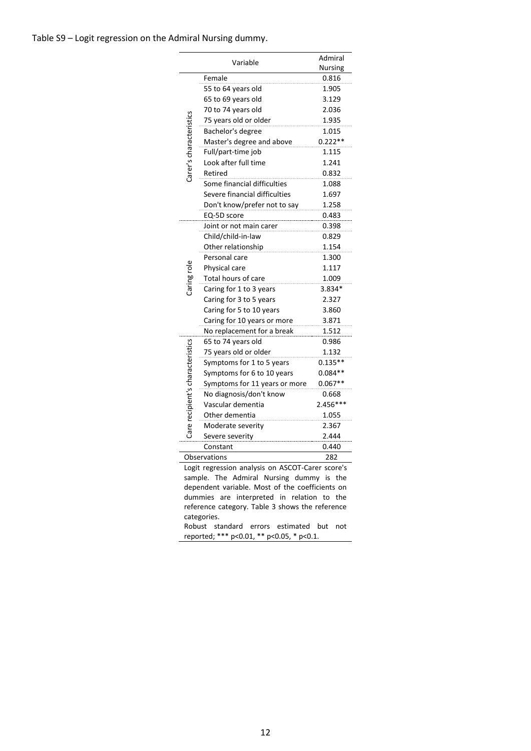|                                  | Admiral                                          |           |  |  |  |  |  |  |
|----------------------------------|--------------------------------------------------|-----------|--|--|--|--|--|--|
|                                  | <b>Nursing</b>                                   |           |  |  |  |  |  |  |
|                                  | Female                                           | 0.816     |  |  |  |  |  |  |
|                                  | 55 to 64 years old                               | 1.905     |  |  |  |  |  |  |
|                                  | 65 to 69 years old                               | 3.129     |  |  |  |  |  |  |
|                                  | 70 to 74 years old                               | 2.036     |  |  |  |  |  |  |
|                                  | 75 years old or older                            | 1.935     |  |  |  |  |  |  |
|                                  | Bachelor's degree                                | 1.015     |  |  |  |  |  |  |
| Carer's characteristics          | Master's degree and above                        | $0.222**$ |  |  |  |  |  |  |
|                                  | Full/part-time job                               | 1.115     |  |  |  |  |  |  |
|                                  | Look after full time                             | 1.241     |  |  |  |  |  |  |
|                                  | Retired                                          | 0.832     |  |  |  |  |  |  |
|                                  | Some financial difficulties                      | 1.088     |  |  |  |  |  |  |
|                                  | Severe financial difficulties                    | 1.697     |  |  |  |  |  |  |
|                                  | Don't know/prefer not to say                     | 1.258     |  |  |  |  |  |  |
|                                  | EQ-5D score                                      | 0.483     |  |  |  |  |  |  |
|                                  | Joint or not main carer                          | 0.398     |  |  |  |  |  |  |
|                                  | Child/child-in-law                               | 0.829     |  |  |  |  |  |  |
|                                  | Other relationship                               | 1.154     |  |  |  |  |  |  |
|                                  | Personal care                                    | 1.300     |  |  |  |  |  |  |
|                                  | Physical care                                    | 1.117     |  |  |  |  |  |  |
|                                  | Total hours of care                              | 1.009     |  |  |  |  |  |  |
| Caring role                      | Caring for 1 to 3 years                          | $3.834*$  |  |  |  |  |  |  |
|                                  | Caring for 3 to 5 years                          | 2.327     |  |  |  |  |  |  |
|                                  | Caring for 5 to 10 years                         | 3.860     |  |  |  |  |  |  |
|                                  | Caring for 10 years or more                      | 3.871     |  |  |  |  |  |  |
|                                  | No replacement for a break                       | 1.512     |  |  |  |  |  |  |
|                                  | 65 to 74 years old                               | 0.986     |  |  |  |  |  |  |
| Care recipient's characteristics | 75 years old or older                            | 1.132     |  |  |  |  |  |  |
|                                  | Symptoms for 1 to 5 years                        | $0.135**$ |  |  |  |  |  |  |
|                                  | Symptoms for 6 to 10 years                       | $0.084**$ |  |  |  |  |  |  |
|                                  | Symptoms for 11 years or more                    | $0.067**$ |  |  |  |  |  |  |
|                                  | No diagnosis/don't know                          | 0.668     |  |  |  |  |  |  |
|                                  | Vascular dementia                                | 2.456***  |  |  |  |  |  |  |
|                                  | Other dementia                                   | 1.055     |  |  |  |  |  |  |
|                                  | Moderate severity                                | 2.367     |  |  |  |  |  |  |
|                                  | Severe severity                                  | 2.444     |  |  |  |  |  |  |
|                                  | Constant                                         | 0.440     |  |  |  |  |  |  |
|                                  | Observations<br>282                              |           |  |  |  |  |  |  |
|                                  | Logit regression analysis on ASCOT-Carer score's |           |  |  |  |  |  |  |
|                                  | sample. The Admiral Nursing dummy is the         |           |  |  |  |  |  |  |
|                                  | dependent variable. Most of the coefficients on  |           |  |  |  |  |  |  |
|                                  | interpreted in relation to the<br>dummies<br>are |           |  |  |  |  |  |  |
|                                  | reference category. Table 3 shows the reference  |           |  |  |  |  |  |  |
| categories.                      |                                                  |           |  |  |  |  |  |  |

Robust standard errors estimated but not reported; \*\*\* p<0.01, \*\* p<0.05, \* p<0.1.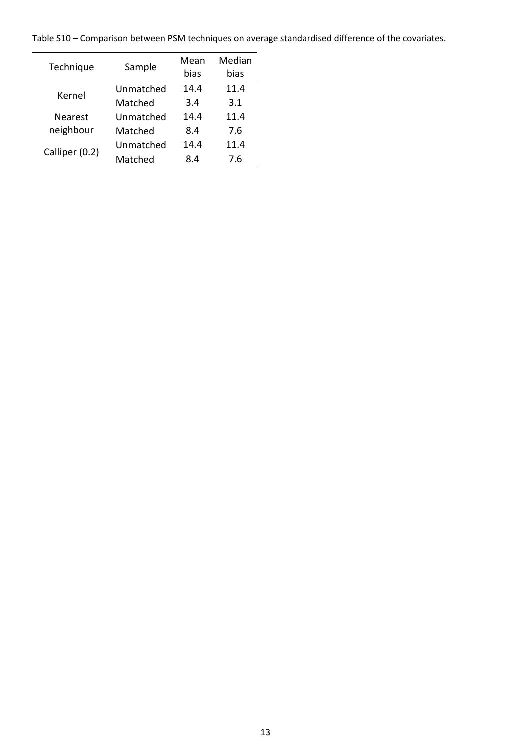Table S10 – Comparison between PSM techniques on average standardised difference of the covariates.

| Technique      | Sample    | Mean | Median |
|----------------|-----------|------|--------|
|                |           | bias | bias   |
| Kernel         | Unmatched | 14.4 | 11.4   |
|                | Matched   | 3.4  | 3.1    |
| <b>Nearest</b> | Unmatched | 14.4 | 11.4   |
| neighbour      | Matched   | 8.4  | 7.6    |
| Calliper (0.2) | Unmatched | 14.4 | 11.4   |
|                | Matched   | 8.4  | 7.6    |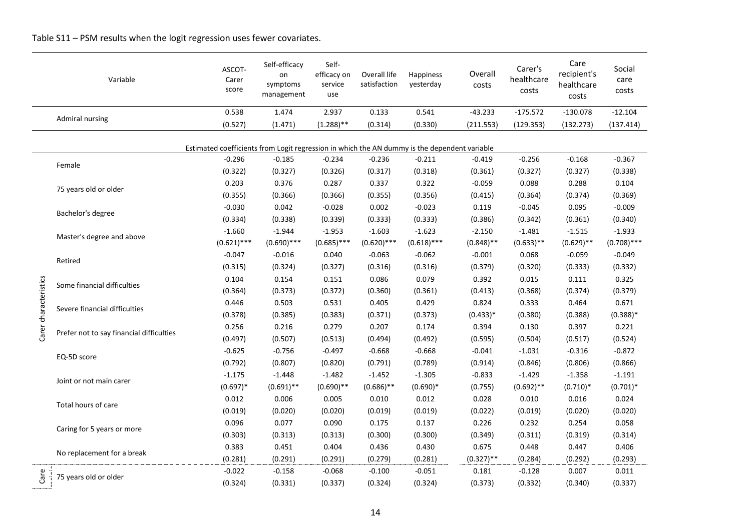|                                                                                              | Variable                                                                                     | ASCOT-<br>Carer<br>score | Self-efficacy<br>on<br>symptoms<br>management | Self-<br>efficacy on<br>service<br>use | Overall life<br>satisfaction | Happiness<br>yesterday | Overall<br>costs | Carer's<br>healthcare<br>costs | Care<br>recipient's<br>healthcare<br>costs | Social<br>care<br>costs |
|----------------------------------------------------------------------------------------------|----------------------------------------------------------------------------------------------|--------------------------|-----------------------------------------------|----------------------------------------|------------------------------|------------------------|------------------|--------------------------------|--------------------------------------------|-------------------------|
|                                                                                              |                                                                                              | 0.538                    | 1.474                                         | 2.937                                  | 0.133                        | 0.541                  | $-43.233$        | $-175.572$                     | $-130.078$                                 | $-12.104$               |
|                                                                                              | <b>Admiral nursing</b>                                                                       | (0.527)                  | (1.471)                                       | $(1.288)$ **                           | (0.314)                      | (0.330)                | (211.553)        | (129.353)                      | (132.273)                                  | (137.414)               |
| Estimated coefficients from Logit regression in which the AN dummy is the dependent variable |                                                                                              |                          |                                               |                                        |                              |                        |                  |                                |                                            |                         |
|                                                                                              |                                                                                              | $-0.296$                 | $-0.185$                                      | $-0.234$                               | $-0.236$                     | $-0.211$               | $-0.419$         | $-0.256$                       | $-0.168$                                   | $-0.367$                |
|                                                                                              | Female<br>75 years old or older<br>Bachelor's degree<br>Master's degree and above<br>Retired | (0.322)                  | (0.327)                                       | (0.326)                                | (0.317)                      | (0.318)                | (0.361)          | (0.327)                        | (0.327)                                    | (0.338)                 |
|                                                                                              |                                                                                              | 0.203                    | 0.376                                         | 0.287                                  | 0.337                        | 0.322                  | $-0.059$         | 0.088                          | 0.288                                      | 0.104                   |
|                                                                                              |                                                                                              | (0.355)                  | (0.366)                                       | (0.366)                                | (0.355)                      | (0.356)                | (0.415)          | (0.364)                        | (0.374)                                    | (0.369)                 |
|                                                                                              |                                                                                              | $-0.030$                 | 0.042                                         | $-0.028$                               | 0.002                        | $-0.023$               | 0.119            | $-0.045$                       | 0.095                                      | $-0.009$                |
|                                                                                              |                                                                                              | (0.334)                  | (0.338)                                       | (0.339)                                | (0.333)                      | (0.333)                | (0.386)          | (0.342)                        | (0.361)                                    | (0.340)                 |
|                                                                                              |                                                                                              | $-1.660$                 | $-1.944$                                      | $-1.953$                               | $-1.603$                     | $-1.623$               | $-2.150$         | $-1.481$                       | $-1.515$                                   | $-1.933$                |
|                                                                                              |                                                                                              | $(0.621)$ ***            | $(0.690)$ ***                                 | $(0.685)$ ***                          | $(0.620)$ ***                | $(0.618)$ ***          | $(0.848)$ **     | $(0.633)$ **                   | $(0.629)$ **                               | $(0.708)$ ***           |
|                                                                                              |                                                                                              | $-0.047$                 | $-0.016$                                      | 0.040                                  | $-0.063$                     | $-0.062$               | $-0.001$         | 0.068                          | $-0.059$                                   | $-0.049$                |
|                                                                                              |                                                                                              | (0.315)                  | (0.324)                                       | (0.327)                                | (0.316)                      | (0.316)                | (0.379)          | (0.320)                        | (0.333)                                    | (0.332)                 |
|                                                                                              | Some financial difficulties                                                                  | 0.104                    | 0.154                                         | 0.151                                  | 0.086                        | 0.079                  | 0.392            | 0.015                          | 0.111                                      | 0.325                   |
| Carer characteristics                                                                        |                                                                                              | (0.364)                  | (0.373)                                       | (0.372)                                | (0.360)                      | (0.361)                | (0.413)          | (0.368)                        | (0.374)                                    | (0.379)                 |
|                                                                                              | Severe financial difficulties                                                                | 0.446                    | 0.503                                         | 0.531                                  | 0.405                        | 0.429                  | 0.824            | 0.333                          | 0.464                                      | 0.671                   |
|                                                                                              |                                                                                              | (0.378)                  | (0.385)                                       | (0.383)                                | (0.371)                      | (0.373)                | $(0.433)*$       | (0.380)                        | (0.388)                                    | $(0.388)*$              |
|                                                                                              |                                                                                              | 0.256                    | 0.216                                         | 0.279                                  | 0.207                        | 0.174                  | 0.394            | 0.130                          | 0.397                                      | 0.221                   |
|                                                                                              | Prefer not to say financial difficulties                                                     | (0.497)                  | (0.507)                                       | (0.513)                                | (0.494)                      | (0.492)                | (0.595)          | (0.504)                        | (0.517)                                    | (0.524)                 |
|                                                                                              |                                                                                              | $-0.625$                 | $-0.756$                                      | $-0.497$                               | $-0.668$                     | $-0.668$               | $-0.041$         | $-1.031$                       | $-0.316$                                   | $-0.872$                |
|                                                                                              | EQ-5D score                                                                                  | (0.792)                  | (0.807)                                       | (0.820)                                | (0.791)                      | (0.789)                | (0.914)          | (0.846)                        | (0.806)                                    | (0.866)                 |
|                                                                                              |                                                                                              | $-1.175$                 | $-1.448$                                      | $-1.482$                               | $-1.452$                     | $-1.305$               | $-0.833$         | $-1.429$                       | $-1.358$                                   | $-1.191$                |
|                                                                                              | Joint or not main carer                                                                      | $(0.697)*$               | $(0.691)$ **                                  | $(0.690)$ **                           | $(0.686)$ **                 | $(0.690)*$             | (0.755)          | $(0.692)$ **                   | $(0.710)*$                                 | $(0.701)^*$             |
|                                                                                              |                                                                                              | 0.012                    | 0.006                                         | 0.005                                  | 0.010                        | 0.012                  | 0.028            | 0.010                          | 0.016                                      | 0.024                   |
|                                                                                              | Total hours of care                                                                          | (0.019)                  | (0.020)                                       | (0.020)                                | (0.019)                      | (0.019)                | (0.022)          | (0.019)                        | (0.020)                                    | (0.020)                 |
|                                                                                              |                                                                                              | 0.096                    | 0.077                                         | 0.090                                  | 0.175                        | 0.137                  | 0.226            | 0.232                          | 0.254                                      | 0.058                   |
|                                                                                              | Caring for 5 years or more                                                                   | (0.303)                  | (0.313)                                       | (0.313)                                | (0.300)                      | (0.300)                | (0.349)          | (0.311)                        | (0.319)                                    | (0.314)                 |
|                                                                                              |                                                                                              | 0.383                    | 0.451                                         | 0.404                                  | 0.436                        | 0.430                  | 0.675            | 0.448                          | 0.447                                      | 0.406                   |
|                                                                                              | No replacement for a break                                                                   | (0.281)                  | (0.291)                                       | (0.291)                                | (0.279)                      | (0.281)                | $(0.327)$ **     | (0.284)                        | (0.292)                                    | (0.293)                 |
|                                                                                              |                                                                                              | $-0.022$                 | $-0.158$                                      | $-0.068$                               | $-0.100$                     | $-0.051$               | 0.181            | $-0.128$                       | 0.007                                      | 0.011                   |
| Care                                                                                         | 75 years old or older                                                                        | (0.324)                  | (0.331)                                       | (0.337)                                | (0.324)                      | (0.324)                | (0.373)          | (0.332)                        | (0.340)                                    | (0.337)                 |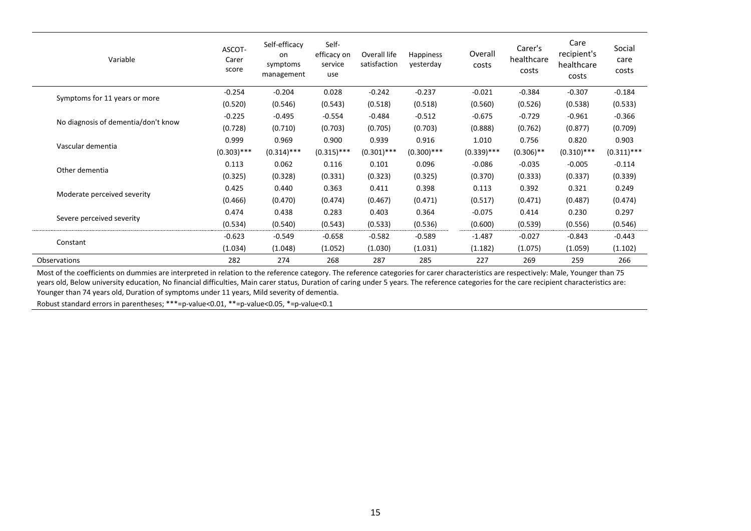| Variable                            | ASCOT-<br>Carer<br>score | Self-efficacy<br>on<br>symptoms<br>management | Self-<br>efficacy on<br>service<br>use | Overall life<br>satisfaction | <b>Happiness</b><br>yesterday | Overall<br>costs | Carer's<br>healthcare<br>costs | Care<br>recipient's<br>healthcare<br>costs | Social<br>care<br>costs |
|-------------------------------------|--------------------------|-----------------------------------------------|----------------------------------------|------------------------------|-------------------------------|------------------|--------------------------------|--------------------------------------------|-------------------------|
|                                     | $-0.254$                 | $-0.204$                                      | 0.028                                  | $-0.242$                     | $-0.237$                      | $-0.021$         | $-0.384$                       | $-0.307$                                   | $-0.184$                |
| Symptoms for 11 years or more       | (0.520)                  | (0.546)                                       | (0.543)                                | (0.518)                      | (0.518)                       | (0.560)          | (0.526)                        | (0.538)                                    | (0.533)                 |
| No diagnosis of dementia/don't know | $-0.225$                 | $-0.495$                                      | $-0.554$                               | $-0.484$                     | $-0.512$                      | $-0.675$         | $-0.729$                       | $-0.961$                                   | $-0.366$                |
|                                     | (0.728)                  | (0.710)                                       | (0.703)                                | (0.705)                      | (0.703)                       | (0.888)          | (0.762)                        | (0.877)                                    | (0.709)                 |
| Vascular dementia                   | 0.999                    | 0.969                                         | 0.900                                  | 0.939                        | 0.916                         | 1.010            | 0.756                          | 0.820                                      | 0.903                   |
|                                     | $(0.303)$ ***            | $(0.314)$ ***                                 | $(0.315)$ ***                          | $(0.301)$ ***                | $(0.300)$ ***                 | $(0.339)$ ***    | $(0.306)$ **                   | $(0.310)$ ***                              | $(0.311)$ ***           |
| Other dementia                      | 0.113                    | 0.062                                         | 0.116                                  | 0.101                        | 0.096                         | $-0.086$         | $-0.035$                       | $-0.005$                                   | $-0.114$                |
|                                     | (0.325)                  | (0.328)                                       | (0.331)                                | (0.323)                      | (0.325)                       | (0.370)          | (0.333)                        | (0.337)                                    | (0.339)                 |
| Moderate perceived severity         | 0.425                    | 0.440                                         | 0.363                                  | 0.411                        | 0.398                         | 0.113            | 0.392                          | 0.321                                      | 0.249                   |
|                                     | (0.466)                  | (0.470)                                       | (0.474)                                | (0.467)                      | (0.471)                       | (0.517)          | (0.471)                        | (0.487)                                    | (0.474)                 |
|                                     | 0.474                    | 0.438                                         | 0.283                                  | 0.403                        | 0.364                         | $-0.075$         | 0.414                          | 0.230                                      | 0.297                   |
| Severe perceived severity           | (0.534)                  | (0.540)                                       | (0.543)                                | (0.533)                      | (0.536)                       | (0.600)          | (0.539)                        | (0.556)                                    | (0.546)                 |
|                                     | $-0.623$                 | $-0.549$                                      | $-0.658$                               | $-0.582$                     | $-0.589$                      | $-1.487$         | $-0.027$                       | $-0.843$                                   | $-0.443$                |
| Constant                            | (1.034)                  | (1.048)                                       | (1.052)                                | (1.030)                      | (1.031)                       | (1.182)          | (1.075)                        | (1.059)                                    | (1.102)                 |
| Observations                        | 282                      | 274                                           | 268                                    | 287                          | 285                           | 227              | 269                            | 259                                        | 266                     |

Most of the coefficients on dummies are interpreted in relation to the reference category. The reference categories for carer characteristics are respectively: Male, Younger than 75 years old, Below university education, No financial difficulties, Main carer status, Duration of caring under 5 years. The reference categories for the care recipient characteristics are: Younger than 74 years old, Duration of symptoms under 11 years, Mild severity of dementia.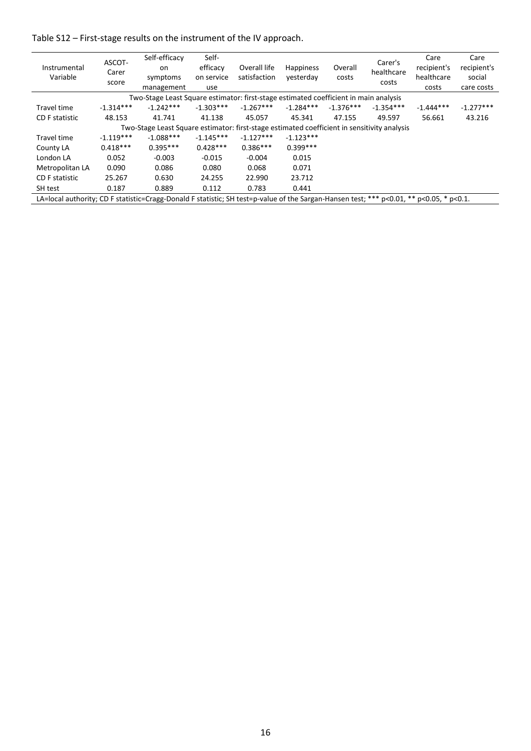Table S12 – First-stage results on the instrument of the IV approach.

| Instrumental<br>Variable                                                                                                                | ASCOT-<br>Carer<br>score | Self-efficacy<br>on<br>symptoms<br>management                                               | Self-<br>efficacy<br>on service<br>use | Overall life<br>satisfaction | <b>Happiness</b><br>vesterday | Overall<br>costs | Carer's<br>healthcare<br>costs | Care<br>recipient's<br>healthcare<br>costs | Care<br>recipient's<br>social<br>care costs |
|-----------------------------------------------------------------------------------------------------------------------------------------|--------------------------|---------------------------------------------------------------------------------------------|----------------------------------------|------------------------------|-------------------------------|------------------|--------------------------------|--------------------------------------------|---------------------------------------------|
| Two-Stage Least Square estimator: first-stage estimated coefficient in main analysis                                                    |                          |                                                                                             |                                        |                              |                               |                  |                                |                                            |                                             |
| Travel time                                                                                                                             | $-1.314***$              | $-1.242***$                                                                                 | $-1.303***$                            | $-1.267***$                  | $-1.284***$                   | $-1.376***$      | $-1.354***$                    | $-1.444***$                                | $-1.277***$                                 |
| CD F statistic                                                                                                                          | 48.153                   | 41.741                                                                                      | 41.138                                 | 45.057                       | 45.341                        | 47.155           | 49.597                         | 56.661                                     | 43.216                                      |
|                                                                                                                                         |                          | Two-Stage Least Square estimator: first-stage estimated coefficient in sensitivity analysis |                                        |                              |                               |                  |                                |                                            |                                             |
| Travel time                                                                                                                             | $-1.119***$              | $-1.088***$                                                                                 | $-1.145***$                            | $-1.127***$                  | $-1.123***$                   |                  |                                |                                            |                                             |
| County LA                                                                                                                               | $0.418***$               | $0.395***$                                                                                  | $0.428***$                             | $0.386***$                   | $0.399***$                    |                  |                                |                                            |                                             |
| London LA                                                                                                                               | 0.052                    | $-0.003$                                                                                    | $-0.015$                               | $-0.004$                     | 0.015                         |                  |                                |                                            |                                             |
| Metropolitan LA                                                                                                                         | 0.090                    | 0.086                                                                                       | 0.080                                  | 0.068                        | 0.071                         |                  |                                |                                            |                                             |
| <b>CD F statistic</b>                                                                                                                   | 25.267                   | 0.630                                                                                       | 24.255                                 | 22.990                       | 23.712                        |                  |                                |                                            |                                             |
| SH test                                                                                                                                 | 0.187                    | 0.889                                                                                       | 0.112                                  | 0.783                        | 0.441                         |                  |                                |                                            |                                             |
| LA=local authority; CD F statistic=Cragg-Donald F statistic; SH test=p-value of the Sargan-Hansen test; *** p<0.01, ** p<0.05, * p<0.1. |                          |                                                                                             |                                        |                              |                               |                  |                                |                                            |                                             |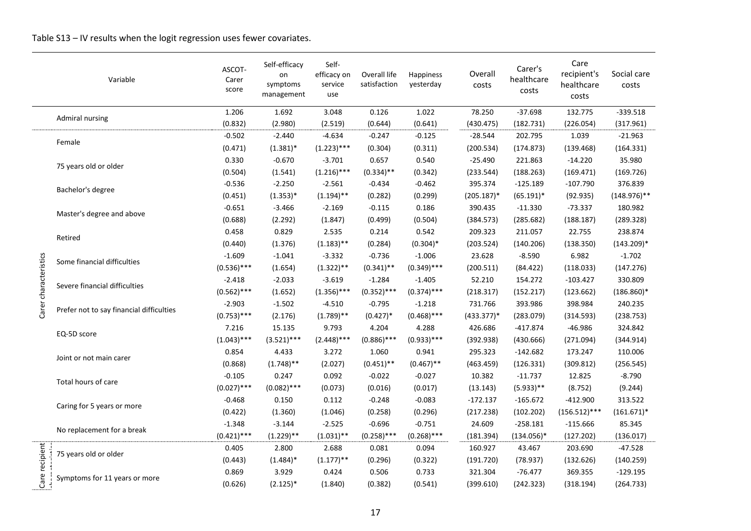|                       | Variable                                 | ASCOT-<br>Carer<br>score | Self-efficacy<br>on<br>symptoms<br>management | Self-<br>efficacy on<br>service<br>use | Overall life<br>satisfaction | Happiness<br>yesterday | Overall<br>costs | Carer's<br>healthcare<br>costs | Care<br>recipient's<br>healthcare<br>costs | Social care<br>costs |
|-----------------------|------------------------------------------|--------------------------|-----------------------------------------------|----------------------------------------|------------------------------|------------------------|------------------|--------------------------------|--------------------------------------------|----------------------|
|                       | Admiral nursing                          | 1.206                    | 1.692                                         | 3.048                                  | 0.126                        | 1.022                  | 78.250           | $-37.698$                      | 132.775                                    | $-339.518$           |
|                       |                                          | (0.832)                  | (2.980)                                       | (2.519)                                | (0.644)                      | (0.641)                | (430.475)        | (182.731)                      | (226.054)                                  | (317.961)            |
|                       | Female                                   | $-0.502$                 | $-2.440$                                      | $-4.634$                               | $-0.247$                     | $-0.125$               | $-28.544$        | 202.795                        | 1.039                                      | $-21.963$            |
|                       |                                          | (0.471)                  | $(1.381)^*$                                   | $(1.223)$ ***                          | (0.304)                      | (0.311)                | (200.534)        | (174.873)                      | (139.468)                                  | (164.331)            |
|                       | 75 years old or older                    | 0.330                    | $-0.670$                                      | $-3.701$                               | 0.657                        | 0.540                  | $-25.490$        | 221.863                        | $-14.220$                                  | 35.980               |
|                       |                                          | (0.504)                  | (1.541)                                       | $(1.216)$ ***                          | $(0.334)$ **                 | (0.342)                | (233.544)        | (188.263)                      | (169.471)                                  | (169.726)            |
|                       | Bachelor's degree                        | $-0.536$                 | $-2.250$                                      | $-2.561$                               | $-0.434$                     | $-0.462$               | 395.374          | $-125.189$                     | $-107.790$                                 | 376.839              |
|                       |                                          | (0.451)                  | $(1.353)*$                                    | $(1.194)$ **                           | (0.282)                      | (0.299)                | $(205.187)^*$    | $(65.191)^*$                   | (92.935)                                   | $(148.976)$ **       |
|                       | Master's degree and above                | $-0.651$                 | $-3.466$                                      | $-2.169$                               | $-0.115$                     | 0.186                  | 390.435          | $-11.330$                      | $-73.337$                                  | 180.982              |
|                       |                                          | (0.688)                  | (2.292)                                       | (1.847)                                | (0.499)                      | (0.504)                | (384.573)        | (285.682)                      | (188.187)                                  | (289.328)            |
|                       | Retired                                  | 0.458                    | 0.829                                         | 2.535                                  | 0.214                        | 0.542                  | 209.323          | 211.057                        | 22.755                                     | 238.874              |
|                       |                                          | (0.440)                  | (1.376)                                       | $(1.183)$ **                           | (0.284)                      | $(0.304)*$             | (203.524)        | (140.206)                      | (138.350)                                  | $(143.209)*$         |
|                       | Some financial difficulties              | $-1.609$                 | $-1.041$                                      | $-3.332$                               | $-0.736$                     | $-1.006$               | 23.628           | $-8.590$                       | 6.982                                      | $-1.702$             |
|                       |                                          | $(0.536)$ ***            | (1.654)                                       | $(1.322)$ **                           | $(0.341)$ **                 | $(0.349)$ ***          | (200.511)        | (84.422)                       | (118.033)                                  | (147.276)            |
|                       |                                          | $-2.418$                 | $-2.033$                                      | $-3.619$                               | $-1.284$                     | $-1.405$               | 52.210           | 154.272                        | $-103.427$                                 | 330.809              |
| Carer characteristics | Severe financial difficulties            | $(0.562)$ ***            | (1.652)                                       | $(1.356)$ ***                          | $(0.352)$ ***                | $(0.374)$ ***          | (218.317)        | (152.217)                      | (123.662)                                  | $(186.860)*$         |
|                       | Prefer not to say financial difficulties | $-2.903$                 | $-1.502$                                      | $-4.510$                               | $-0.795$                     | $-1.218$               | 731.766          | 393.986                        | 398.984                                    | 240.235              |
|                       |                                          | $(0.753)$ ***            | (2.176)                                       | $(1.789)$ **                           | $(0.427)^*$                  | $(0.468)$ ***          | $(433.377)*$     | (283.079)                      | (314.593)                                  | (238.753)            |
|                       |                                          | 7.216                    | 15.135                                        | 9.793                                  | 4.204                        | 4.288                  | 426.686          | $-417.874$                     | $-46.986$                                  | 324.842              |
|                       | EQ-5D score                              | $(1.043)$ ***            | $(3.521)***$                                  | $(2.448)$ ***                          | $(0.886)$ ***                | $(0.933)$ ***          | (392.938)        | (430.666)                      | (271.094)                                  | (344.914)            |
|                       |                                          | 0.854                    | 4.433                                         | 3.272                                  | 1.060                        | 0.941                  | 295.323          | $-142.682$                     | 173.247                                    | 110.006              |
|                       | Joint or not main carer                  | (0.868)                  | $(1.748)$ **                                  | (2.027)                                | $(0.451)$ **                 | $(0.467)$ **           | (463.459)        | (126.331)                      | (309.812)                                  | (256.545)            |
|                       |                                          | $-0.105$                 | 0.247                                         | 0.092                                  | $-0.022$                     | $-0.027$               | 10.382           | $-11.737$                      | 12.825                                     | $-8.790$             |
|                       | Total hours of care                      | $(0.027)$ ***            | $(0.082)$ ***                                 | (0.073)                                | (0.016)                      | (0.017)                | (13.143)         | $(5.933)$ **                   | (8.752)                                    | (9.244)              |
|                       |                                          | $-0.468$                 | 0.150                                         | 0.112                                  | $-0.248$                     | $-0.083$               | $-172.137$       | $-165.672$                     | $-412.900$                                 | 313.522              |
|                       | Caring for 5 years or more               | (0.422)                  | (1.360)                                       | (1.046)                                | (0.258)                      | (0.296)                | (217.238)        | (102.202)                      | $(156.512)$ ***                            | $(161.671)*$         |
|                       |                                          | $-1.348$                 | $-3.144$                                      | $-2.525$                               | $-0.696$                     | $-0.751$               | 24.609           | $-258.181$                     | $-115.666$                                 | 85.345               |
|                       | No replacement for a break               | $(0.421)$ ***            | $(1.229)$ **                                  | $(1.031)$ **                           | $(0.258)$ ***                | $(0.268)$ ***          | (181.394)        | $(134.056)^*$                  | (127.202)                                  | (136.017)            |
|                       |                                          | 0.405                    | 2.800                                         | 2.688                                  | 0.081                        | 0.094                  | 160.927          | 43.467                         | 203.690                                    | $-47.528$            |
|                       | 75 years old or older                    | (0.443)                  | $(1.484)^*$                                   | $(1.177)$ **                           | (0.296)                      | (0.322)                | (191.720)        | (78.937)                       | (132.626)                                  | (140.259)            |
|                       |                                          | 0.869                    | 3.929                                         | 0.424                                  | 0.506                        | 0.733                  | 321.304          | $-76.477$                      | 369.355                                    | $-129.195$           |
| Care recipient        | Symptoms for 11 years or more            | (0.626)                  | $(2.125)$ *                                   | (1.840)                                | (0.382)                      | (0.541)                | (399.610)        | (242.323)                      | (318.194)                                  | (264.733)            |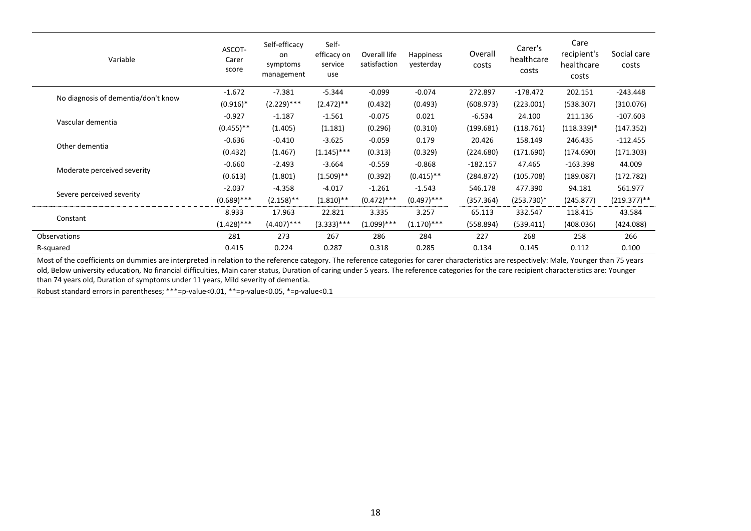| Variable                            | ASCOT-<br>Carer<br>score | Self-efficacy<br>on<br>symptoms<br>management | Self-<br>efficacy on<br>service<br>use | Overall life<br>satisfaction | <b>Happiness</b><br>yesterday | Overall<br>costs | Carer's<br>healthcare<br>costs | Care<br>recipient's<br>healthcare<br>costs | Social care<br>costs |
|-------------------------------------|--------------------------|-----------------------------------------------|----------------------------------------|------------------------------|-------------------------------|------------------|--------------------------------|--------------------------------------------|----------------------|
|                                     | $-1.672$                 | $-7.381$                                      | $-5.344$                               | $-0.099$                     | $-0.074$                      | 272.897          | $-178.472$                     | 202.151                                    | $-243.448$           |
| No diagnosis of dementia/don't know | $(0.916)*$               | $(2.229)$ ***                                 | $(2.472)$ **                           | (0.432)                      | (0.493)                       | (608.973)        | (223.001)                      | (538.307)                                  | (310.076)            |
| Vascular dementia                   | $-0.927$                 | $-1.187$                                      | $-1.561$                               | $-0.075$                     | 0.021                         | $-6.534$         | 24.100                         | 211.136                                    | $-107.603$           |
|                                     | $(0.455)$ **             | (1.405)                                       | (1.181)                                | (0.296)                      | (0.310)                       | (199.681)        | (118.761)                      | $(118.339)^*$                              | (147.352)            |
| Other dementia                      | $-0.636$                 | $-0.410$                                      | $-3.625$                               | $-0.059$                     | 0.179                         | 20.426           | 158.149                        | 246.435                                    | $-112.455$           |
|                                     | (0.432)                  | (1.467)                                       | $(1.145)$ ***                          | (0.313)                      | (0.329)                       | (224.680)        | (171.690)                      | (174.690)                                  | (171.303)            |
|                                     | $-0.660$                 | $-2.493$                                      | $-3.664$                               | $-0.559$                     | $-0.868$                      | $-182.157$       | 47.465                         | $-163.398$                                 | 44.009               |
| Moderate perceived severity         | (0.613)                  | (1.801)                                       | $(1.509)$ **                           | (0.392)                      | $(0.415)$ **                  | (284.872)        | (105.708)                      | (189.087)                                  | (172.782)            |
| Severe perceived severity           | $-2.037$                 | $-4.358$                                      | $-4.017$                               | $-1.261$                     | $-1.543$                      | 546.178          | 477.390                        | 94.181                                     | 561.977              |
|                                     | $(0.689)$ ***            | $(2.158)$ **                                  | $(1.810)$ **                           | $(0.472)$ ***                | $(0.497)$ ***                 | (357.364)        | $(253.730)^*$                  | (245.877)                                  | $(219.377)$ **       |
|                                     | 8.933                    | 17.963                                        | 22.821                                 | 3.335                        | 3.257                         | 65.113           | 332.547                        | 118.415                                    | 43.584               |
| Constant                            | $(1.428)$ ***            | $(4.407)$ ***                                 | $(3.333)$ ***                          | $(1.099)$ ***                | $(1.170)$ ***                 | (558.894)        | (539.411)                      | (408.036)                                  | (424.088)            |
| Observations                        | 281                      | 273                                           | 267                                    | 286                          | 284                           | 227              | 268                            | 258                                        | 266                  |
| R-squared                           | 0.415                    | 0.224                                         | 0.287                                  | 0.318                        | 0.285                         | 0.134            | 0.145                          | 0.112                                      | 0.100                |

Most of the coefficients on dummies are interpreted in relation to the reference category. The reference categories for carer characteristics are respectively: Male, Younger than 75 years old, Below university education, No financial difficulties, Main carer status, Duration of caring under 5 years. The reference categories for the care recipient characteristics are: Younger than 74 years old, Duration of symptoms under 11 years, Mild severity of dementia.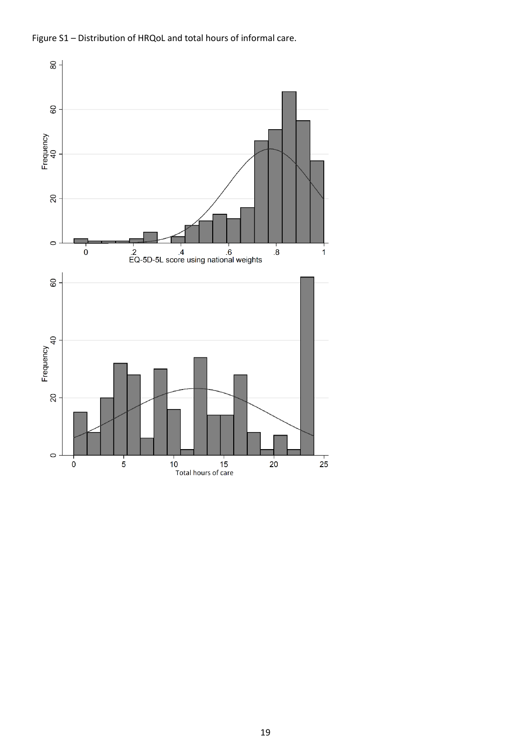

Figure S1 - Distribution of HRQoL and total hours of informal care.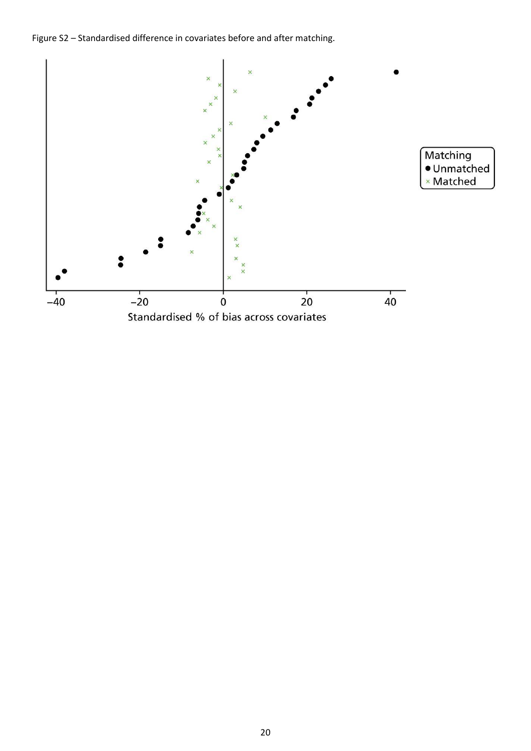Figure S2 - Standardised difference in covariates before and after matching.

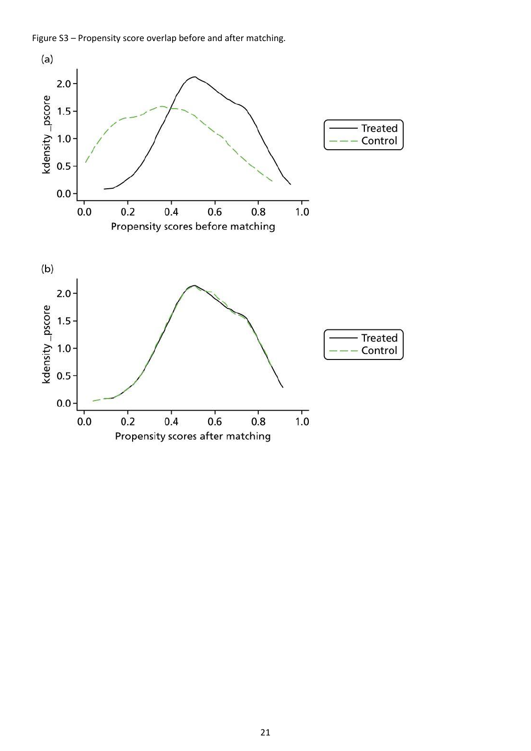Figure S3 - Propensity score overlap before and after matching.